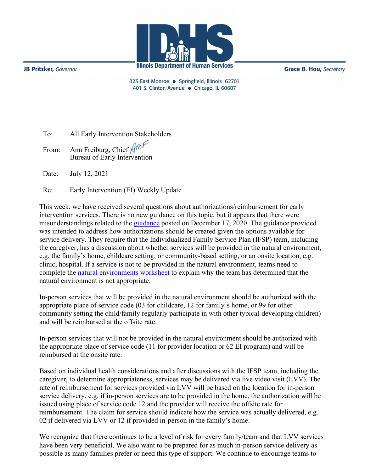

**JB Pritzker**, Governor

**Grace B. Hou, Secretary** 

823 East Monroe · Springfield, Illinois 62701 401 S. Clinton Avenue · Chicago, IL 60607

To: All Early Intervention Stakeholders From: Ann Freiburg, Chief Am Bureau of Early Intervention

Date: July 12, 2021

Re: Early Intervention (EI) Weekly Update

This week, we have received several questions about authorizations/reimbursement for early intervention services. There is no new guidance on this topic, but it appears that there were misunderstandings related to the [guidance](http://www.wiu.edu/coehs/provider_connections/pdf/Guidance%20for%20Early%20Intervention%20Authorizations%20during%20Pandemic%2012%2017%2020.pdf) posted on December 17, 2020. The guidance provided was intended to address how authorizations should be created given the options available for service delivery. They require that the Individualized Family Service Plan (IFSP) team, including the caregiver, has a discussion about whether services will be provided in the natural environment, e.g. the family's home, childcare setting, or community-based setting, or an onsite location, e.g. clinic, hospital. If a service is not to be provided in the natural environment, teams need to complete the [natural environments worksheet](http://www.dhs.state.il.us/OneNetLibrary/27896/documents/By_Division/DCHP/EI/NaturalEnvironmentsWorksheet.pdf) to explain why the team has determined that the natural environment is not appropriate.

In-person services that will be provided in the natural environment should be authorized with the appropriate place of service code (03 for childcare, 12 for family's home, or 99 for other community setting the child/family regularly participate in with other typical-developing children) and will be reimbursed at the offsite rate.

In-person services that will not be provided in the natural environment should be authorized with the appropriate place of service code (11 for provider location or 62 EI program) and will be reimbursed at the onsite rate.

Based on individual health considerations and after discussions with the IFSP team, including the caregiver, to determine appropriateness, services may be delivered via live video visit (LVV). The rate of reimbursement for services provided via LVV will be based on the location for in-person service delivery, e.g. if in-person services are to be provided in the home, the authorization will be issued using place of service code 12 and the provider will receive the offsite rate for reimbursement. The claim for service should indicate how the service was actually delivered, e.g. 02 if delivered via LVV or 12 if provided in-person in the family's home.

We recognize that there continues to be a level of risk for every family/team and that LVV services have been very beneficial. We also want to be prepared for as much in-person service delivery as possible as many families prefer or need this type of support. We continue to encourage teams to